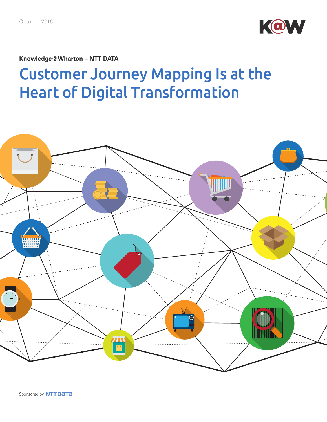

**Knowledge@Wharton – NTT DATA** 

# Customer Journey Mapping Is at the Heart of Digital Transformation

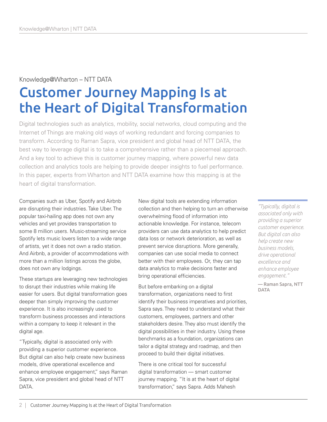#### Knowledge@Wharton – NTT DATA

# Customer Journey Mapping Is at the Heart of Digital Transformation

Digital technologies such as analytics, mobility, social networks, cloud computing and the Internet of Things are making old ways of working redundant and forcing companies to transform. According to Raman Sapra, vice president and global head of NTT DATA, the best way to leverage digital is to take a comprehensive rather than a piecemeal approach. And a key tool to achieve this is customer journey mapping, where powerful new data collection and analytics tools are helping to provide deeper insights to fuel performance. In this paper, experts from Wharton and NTT DATA examine how this mapping is at the heart of digital transformation.

Companies such as Uber, Spotify and Airbnb are disrupting their industries. Take Uber. The popular taxi-hailing app does not own any vehicles and yet provides transportation to some 8 million users. Music-streaming service Spotify lets music lovers listen to a wide range of artists, yet it does not own a radio station. And Airbnb, a provider of accommodations with more than a million listings across the globe, does not own any lodgings.

These startups are leveraging new technologies to disrupt their industries while making life easier for users. But digital transformation goes deeper than simply improving the customer experience. It is also increasingly used to transform business processes and interactions within a company to keep it relevant in the digital age.

"Typically, digital is associated only with providing a superior customer experience. But digital can also help create new business models, drive operational excellence and enhance employee engagement," says Raman Sapra, vice president and global head of NTT DATA.

New digital tools are extending information collection and then helping to turn an otherwise overwhelming flood of information into actionable knowledge. For instance, telecom providers can use data analytics to help predict data loss or network deterioration, as well as prevent service disruptions. More generally, companies can use social media to connect better with their employees. Or, they can tap data analytics to make decisions faster and bring operational efficiencies.

But before embarking on a digital transformation, organizations need to first identify their business imperatives and priorities, Sapra says. They need to understand what their customers, employees, partners and other stakeholders desire. They also must identify the digital possibilities in their industry. Using these benchmarks as a foundation, organizations can tailor a digital strategy and roadmap, and then proceed to build their digital initiatives.

There is one critical tool for successful digital transformation — smart customer journey mapping. "It is at the heart of digital transformation," says Sapra. Adds Mahesh

*"Typically, digital is associated only with providing a superior customer experience. But digital can also help create new business models, drive operational excellence and enhance employee engagement."* — Raman Sapra, NTT DATA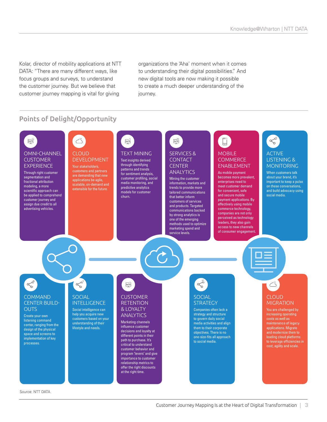Kolar, director of mobility applications at NTT DATA: "There are many different ways, like focus groups and surveys, to understand the customer journey. But we believe that customer journey mapping is vital for giving

organizations the 'Aha' moment when it comes to understanding their digital possibilities." And new digital tools are now making it possible to create a much deeper understanding of the journey.

## Points of Delight/Opportunity

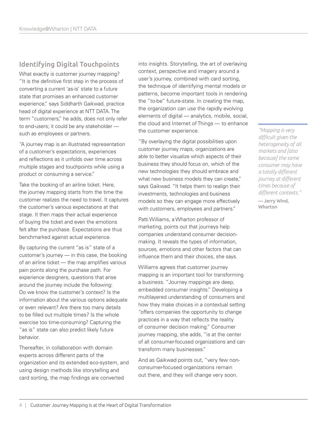# Identifying Digital Touchpoints

What exactly is customer journey mapping? "It is the definitive first step in the process of converting a current 'as-is' state to a future state that promises an enhanced customer experience," says Siddharth Gaikwad, practice head of digital experience at NTT DATA. The term "customers," he adds, does not only refer to end-users; it could be any stakeholder such as employees or partners.

"A journey map is an illustrated representation of a customer's expectations, experiences and reflections as it unfolds over time across multiple stages and touchpoints while using a product or consuming a service."

Take the booking of an airline ticket. Here, the journey mapping starts from the time the customer realizes the need to travel. It captures the customer's various expectations at that stage. It then maps their actual experience of buying the ticket and even the emotions felt after the purchase. Expectations are thus benchmarked against actual experience.

By capturing the current "as is" state of a customer's journey — in this case, the booking of an airline ticket — the map amplifies various pain points along the purchase path. For experience designers, questions that arise around the journey include the following: Do we know the customer's context? Is the information about the various options adequate or even relevant? Are there too many details to be filled out multiple times? Is the whole exercise too time-consuming? Capturing the "as is" state can also predict likely future behavior.

Thereafter, in collaboration with domain experts across different parts of the organization and its extended eco-system, and using design methods like storytelling and card sorting, the map findings are converted

into insights. Storytelling, the art of overlaying context, perspective and imagery around a user's journey, combined with card sorting, the technique of identifying mental models or patterns, become important tools in rendering the "to-be" future-state. In creating the map, the organization can use the rapidly evolving elements of digital — analytics, mobile, social, the cloud and Internet of Things — to enhance the customer experience.

"By overlaying the digital possibilities upon customer journey maps, organizations are able to better visualize which aspects of their business they should focus on, which of the new technologies they should embrace and what new business models they can create," says Gaikwad. "It helps them to realign their investments, technologies and business models so they can engage more effectively with customers, employees and partners."

[Patti Williams,](https://marketing.wharton.upenn.edu/profile/198/) a Wharton professor of marketing, points out that journeys help companies understand consumer decisionmaking. It reveals the types of information, sources, emotions and other factors that can influence them and their choices, she says.

Williams agrees that customer journey mapping is an important tool for transforming a business. "Journey mappings are deep, embedded consumer insights." Developing a multilayered understanding of consumers and how they make choices in a contextual setting "offers companies the opportunity to change practices in a way that reflects the reality of consumer decision making." Consumer journey mapping, she adds, "is at the center of all consumer-focused organizations and can transform many businesses."

And as Gaikwad points out, "very few nonconsumer-focused organizations remain out there, and they will change very soon.

*"Mapping is very difficult given the heterogeneity of all markets and [also because] the same consumer may have a totally different journey at different times because of different contexts."* — Jerry Wind,

Wharton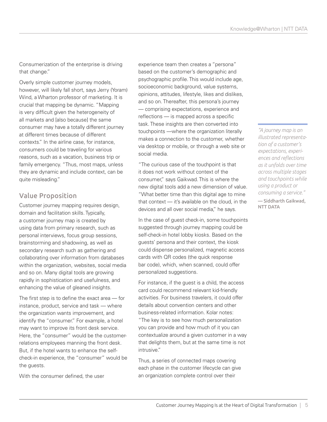Consumerization of the enterprise is driving that change."

Overly simple customer journey models, however, will likely fall short, says [Jerry \(Yoram\)](https://marketing.wharton.upenn.edu/profile/196/)  [Wind,](https://marketing.wharton.upenn.edu/profile/196/) a Wharton professor of marketing. It is crucial that mapping be dynamic. "Mapping is very difficult given the heterogeneity of all markets and [also because] the same consumer may have a totally different journey at different times because of different contexts." In the airline case, for instance, consumers could be traveling for various reasons, such as a vacation, business trip or family emergency. "Thus, most maps, unless they are dynamic and include context, can be quite misleading."

#### Value Proposition

Customer journey mapping requires design, domain and facilitation skills. Typically, a customer journey map is created by using data from primary research, such as personal interviews, focus group sessions, brainstorming and shadowing, as well as secondary research such as gathering and collaborating over information from databases within the organization, websites, social media and so on. Many digital tools are growing rapidly in sophistication and usefulness, and enhancing the value of gleaned insights.

The first step is to define the exact area — for instance, product, service and task — where the organization wants improvement, and identify the "consumer." For example, a hotel may want to improve its front desk service. Here, the "consumer" would be the customerrelations employees manning the front desk. But, if the hotel wants to enhance the selfcheck-in experience, the "consumer" would be the quests.

With the consumer defined, the user

experience team then creates a "persona" based on the customer's demographic and psychographic profile. This would include age, socioeconomic background, value systems, opinions, attitudes, lifestyle, likes and dislikes, and so on. Thereafter, this persona's journey — comprising expectations, experience and reflections — is mapped across a specific task. These insights are then converted into touchpoints —where the organization literally makes a connection to the customer, whether via desktop or mobile, or through a web site or social media.

"The curious case of the touchpoint is that it does not work without context of the consumer," says Gaikwad. This is where the new digital tools add a new dimension of value. "What better time than this digital age to mine that context — it's available on the cloud, in the devices and all over social media," he says.

In the case of guest check-in, some touchpoints suggested through journey mapping could be self-check-in hotel lobby kiosks. Based on the guests' persona and their context, the kiosk could dispense personalized, magnetic access cards with QR codes (the quick response bar code), which, when scanned, could offer personalized suggestions.

For instance, if the guest is a child, the access card could recommend relevant kid-friendly activities. For business travelers, it could offer details about convention centers and other business-related information. Kolar notes: "The key is to see how much personalization you can provide and how much of it you can contextualize around a given customer in a way that delights them, but at the same time is not intrusive."

Thus, a series of connected maps covering each phase in the customer lifecycle can give an organization complete control over their

*"A journey map is an illustrated representation of a customer's expectations, experiences and reflections as it unfolds over time across multiple stages and touchpoints while using a product or consuming a service."* — Siddharth Gaikwad, NTT DATA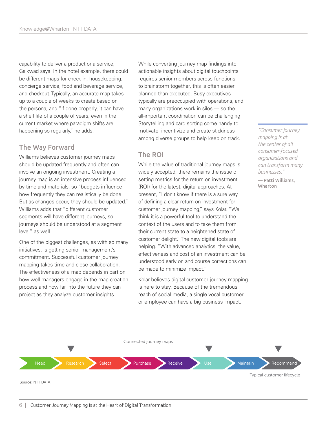capability to deliver a product or a service, Gaikwad says. In the hotel example, there could be different maps for check-in, housekeeping, concierge service, food and beverage service, and checkout. Typically, an accurate map takes up to a couple of weeks to create based on the persona, and "if done properly, it can have a shelf life of a couple of years, even in the current market where paradigm shifts are happening so regularly," he adds.

#### The Way Forward

Williams believes customer journey maps should be updated frequently and often can involve an ongoing investment. Creating a journey map is an intensive process influenced by time and materials, so "budgets influence how frequently they can realistically be done. But as changes occur, they should be updated." Williams adds that "different customer segments will have different journeys, so journeys should be understood at a segment level" as well.

One of the biggest challenges, as with so many initiatives, is getting senior management's commitment. Successful customer journey mapping takes time and close collaboration. The effectiveness of a map depends in part on how well managers engage in the map creation process and how far into the future they can project as they analyze customer insights.

While converting journey map findings into actionable insights about digital touchpoints requires senior members across functions to brainstorm together, this is often easier planned than executed. Busy executives typically are preoccupied with operations, and many organizations work in silos — so the all-important coordination can be challenging. Storytelling and card sorting come handy to motivate, incentivize and create stickiness among diverse groups to help keep on track.

## The ROI

While the value of traditional journey maps is widely accepted, there remains the issue of setting metrics for the return on investment (ROI) for the latest, digital approaches. At present, "I don't know if there is a sure way of defining a clear return on investment for customer journey mapping," says Kolar. "We think it is a powerful tool to understand the context of the users and to take them from their current state to a heightened state of customer delight." The new digital tools are helping. "With advanced analytics, the value, effectiveness and cost of an investment can be understood early on and course corrections can be made to minimize impact."

Kolar believes digital customer journey mapping is here to stay. Because of the tremendous reach of social media, a single vocal customer or employee can have a big business impact.

*"Consumer journey mapping is at the center of all consumer-focused organizations and can transform many businesses."*

— Patti Williams, Wharton

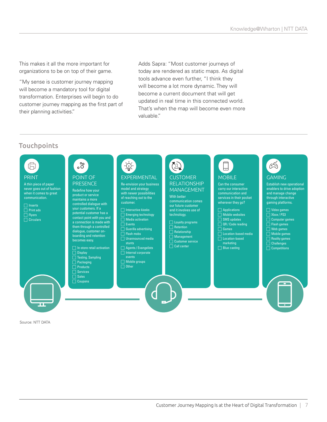This makes it all the more important for organizations to be on top of their game.

"My sense is customer journey mapping will become a mandatory tool for digital transformation. Enterprises will begin to do customer journey mapping as the first part of their planning activities."

Adds Sapra: "Most customer journeys of today are rendered as static maps. As digital tools advance even further, "I think they will become a lot more dynamic. They will become a current document that will get updated in real time in this connected world. That's when the map will become even more valuable."

## **Touchpoints**



Source: NTT DATA